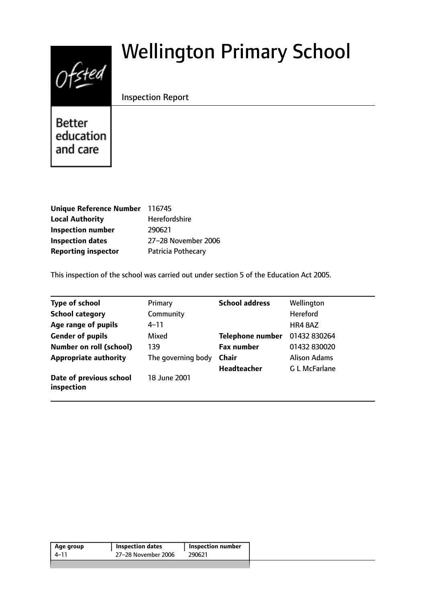# $Ofsted$

# Wellington Primary School

# Inspection Report

**Better** education and care

| Unique Reference Number 116745 |                      |
|--------------------------------|----------------------|
| <b>Local Authority</b>         | <b>Herefordshire</b> |
| <b>Inspection number</b>       | 290621               |
| <b>Inspection dates</b>        | 27-28 November 2006  |
| <b>Reporting inspector</b>     | Patricia Pothecary   |

This inspection of the school was carried out under section 5 of the Education Act 2005.

| <b>Type of school</b>                 | Primary            | <b>School address</b>   | Wellington          |
|---------------------------------------|--------------------|-------------------------|---------------------|
| <b>School category</b>                | Community          |                         | <b>Hereford</b>     |
| Age range of pupils                   | $4 - 11$           |                         | HR4 8AZ             |
| <b>Gender of pupils</b>               | Mixed              | <b>Telephone number</b> | 01432 830264        |
| <b>Number on roll (school)</b>        | 139                | <b>Fax number</b>       | 01432 830020        |
| <b>Appropriate authority</b>          | The governing body | <b>Chair</b>            | <b>Alison Adams</b> |
|                                       |                    | Headteacher             | <b>GL McFarlane</b> |
| Date of previous school<br>inspection | 18 June 2001       |                         |                     |

| 27-28 November 2006<br>290621<br>4–11 | Age group | <b>Inspection dates</b> | Inspection number |
|---------------------------------------|-----------|-------------------------|-------------------|
|                                       |           |                         |                   |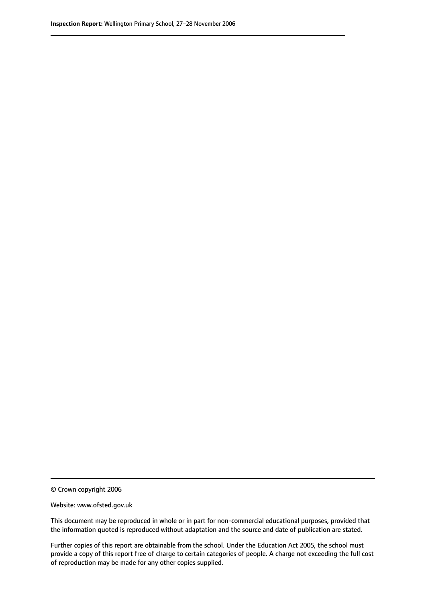© Crown copyright 2006

Website: www.ofsted.gov.uk

This document may be reproduced in whole or in part for non-commercial educational purposes, provided that the information quoted is reproduced without adaptation and the source and date of publication are stated.

Further copies of this report are obtainable from the school. Under the Education Act 2005, the school must provide a copy of this report free of charge to certain categories of people. A charge not exceeding the full cost of reproduction may be made for any other copies supplied.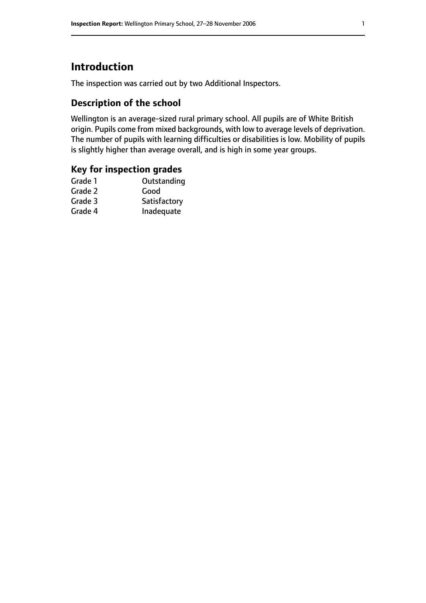# **Introduction**

The inspection was carried out by two Additional Inspectors.

# **Description of the school**

Wellington is an average-sized rural primary school. All pupils are of White British origin. Pupils come from mixed backgrounds, with low to average levels of deprivation. The number of pupils with learning difficulties or disabilities is low. Mobility of pupils is slightly higher than average overall, and is high in some year groups.

#### **Key for inspection grades**

| Outstanding  |
|--------------|
| Good         |
| Satisfactory |
| Inadequate   |
|              |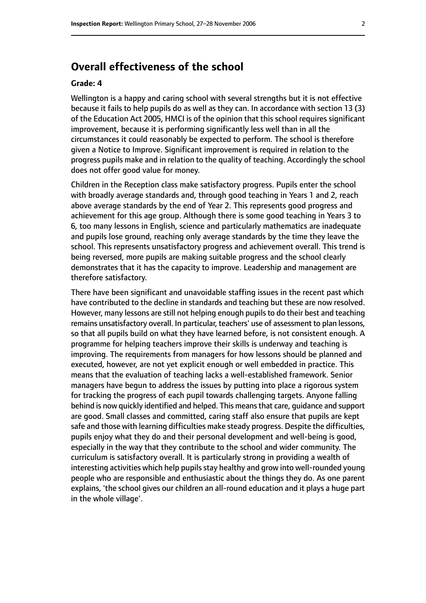# **Overall effectiveness of the school**

#### **Grade: 4**

Wellington is a happy and caring school with several strengths but it is not effective because it fails to help pupils do as well as they can. In accordance with section 13 (3) of the Education Act 2005, HMCI is of the opinion that this school requires significant improvement, because it is performing significantly less well than in all the circumstances it could reasonably be expected to perform. The school is therefore given a Notice to Improve. Significant improvement is required in relation to the progress pupils make and in relation to the quality of teaching. Accordingly the school does not offer good value for money.

Children in the Reception class make satisfactory progress. Pupils enter the school with broadly average standards and, through good teaching in Years 1 and 2, reach above average standards by the end of Year 2. This represents good progress and achievement for this age group. Although there is some good teaching in Years 3 to 6, too many lessons in English, science and particularly mathematics are inadequate and pupils lose ground, reaching only average standards by the time they leave the school. This represents unsatisfactory progress and achievement overall. This trend is being reversed, more pupils are making suitable progress and the school clearly demonstrates that it has the capacity to improve. Leadership and management are therefore satisfactory.

There have been significant and unavoidable staffing issues in the recent past which have contributed to the decline in standards and teaching but these are now resolved. However, many lessons are still not helping enough pupils to do their best and teaching remains unsatisfactory overall. In particular, teachers' use of assessment to plan lessons, so that all pupils build on what they have learned before, is not consistent enough. A programme for helping teachers improve their skills is underway and teaching is improving. The requirements from managers for how lessons should be planned and executed, however, are not yet explicit enough or well embedded in practice. This means that the evaluation of teaching lacks a well-established framework. Senior managers have begun to address the issues by putting into place a rigorous system for tracking the progress of each pupil towards challenging targets. Anyone falling behind is now quickly identified and helped. This means that care, guidance and support are good. Small classes and committed, caring staff also ensure that pupils are kept safe and those with learning difficulties make steady progress. Despite the difficulties, pupils enjoy what they do and their personal development and well-being is good, especially in the way that they contribute to the school and wider community. The curriculum is satisfactory overall. It is particularly strong in providing a wealth of interesting activities which help pupils stay healthy and grow into well-rounded young people who are responsible and enthusiastic about the things they do. As one parent explains, 'the school gives our children an all-round education and it plays a huge part in the whole village'.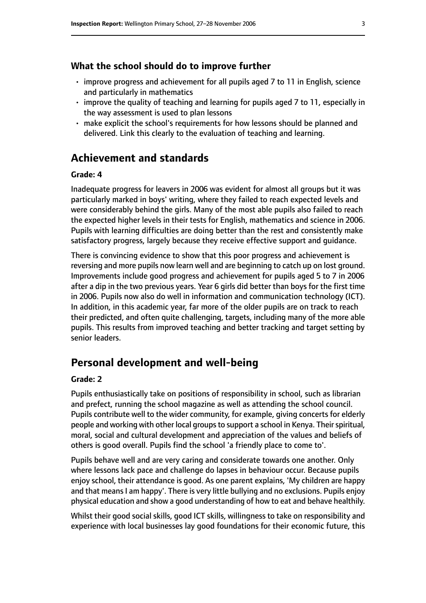#### **What the school should do to improve further**

- improve progress and achievement for all pupils aged 7 to 11 in English, science and particularly in mathematics
- improve the quality of teaching and learning for pupils aged 7 to 11, especially in the way assessment is used to plan lessons
- make explicit the school's requirements for how lessons should be planned and delivered. Link this clearly to the evaluation of teaching and learning.

# **Achievement and standards**

#### **Grade: 4**

Inadequate progress for leavers in 2006 was evident for almost all groups but it was particularly marked in boys' writing, where they failed to reach expected levels and were considerably behind the girls. Many of the most able pupils also failed to reach the expected higher levels in their tests for English, mathematics and science in 2006. Pupils with learning difficulties are doing better than the rest and consistently make satisfactory progress, largely because they receive effective support and guidance.

There is convincing evidence to show that this poor progress and achievement is reversing and more pupils now learn well and are beginning to catch up on lost ground. Improvements include good progress and achievement for pupils aged 5 to 7 in 2006 after a dip in the two previous years. Year 6 girls did better than boys for the first time in 2006. Pupils now also do well in information and communication technology (ICT). In addition, in this academic year, far more of the older pupils are on track to reach their predicted, and often quite challenging, targets, including many of the more able pupils. This results from improved teaching and better tracking and target setting by senior leaders.

# **Personal development and well-being**

#### **Grade: 2**

Pupils enthusiastically take on positions of responsibility in school, such as librarian and prefect, running the school magazine as well as attending the school council. Pupils contribute well to the wider community, for example, giving concerts for elderly people and working with other local groups to support a school in Kenya. Their spiritual, moral, social and cultural development and appreciation of the values and beliefs of others is good overall. Pupils find the school 'a friendly place to come to'.

Pupils behave well and are very caring and considerate towards one another. Only where lessons lack pace and challenge do lapses in behaviour occur. Because pupils enjoy school, their attendance is good. As one parent explains, 'My children are happy and that means I am happy'. There is very little bullying and no exclusions. Pupils enjoy physical education and show a good understanding of how to eat and behave healthily.

Whilst their good social skills, good ICT skills, willingness to take on responsibility and experience with local businesses lay good foundations for their economic future, this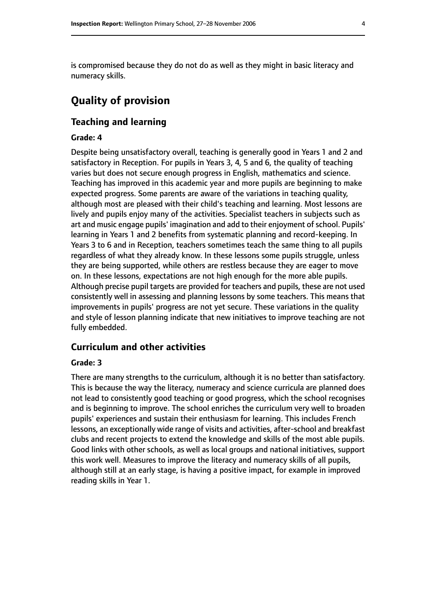is compromised because they do not do as well as they might in basic literacy and numeracy skills.

# **Quality of provision**

#### **Teaching and learning**

#### **Grade: 4**

Despite being unsatisfactory overall, teaching is generally good in Years 1 and 2 and satisfactory in Reception. For pupils in Years 3, 4, 5 and 6, the quality of teaching varies but does not secure enough progress in English, mathematics and science. Teaching has improved in this academic year and more pupils are beginning to make expected progress. Some parents are aware of the variations in teaching quality, although most are pleased with their child's teaching and learning. Most lessons are lively and pupils enjoy many of the activities. Specialist teachers in subjects such as art and music engage pupils' imagination and add to their enjoyment of school. Pupils' learning in Years 1 and 2 benefits from systematic planning and record-keeping. In Years 3 to 6 and in Reception, teachers sometimes teach the same thing to all pupils regardless of what they already know. In these lessons some pupils struggle, unless they are being supported, while others are restless because they are eager to move on. In these lessons, expectations are not high enough for the more able pupils. Although precise pupil targets are provided for teachers and pupils, these are not used consistently well in assessing and planning lessons by some teachers. This means that improvements in pupils' progress are not yet secure. These variations in the quality and style of lesson planning indicate that new initiatives to improve teaching are not fully embedded.

#### **Curriculum and other activities**

#### **Grade: 3**

There are many strengths to the curriculum, although it is no better than satisfactory. This is because the way the literacy, numeracy and science curricula are planned does not lead to consistently good teaching or good progress, which the school recognises and is beginning to improve. The school enriches the curriculum very well to broaden pupils' experiences and sustain their enthusiasm for learning. This includes French lessons, an exceptionally wide range of visits and activities, after-school and breakfast clubs and recent projects to extend the knowledge and skills of the most able pupils. Good links with other schools, as well as local groups and national initiatives, support this work well. Measures to improve the literacy and numeracy skills of all pupils, although still at an early stage, is having a positive impact, for example in improved reading skills in Year 1.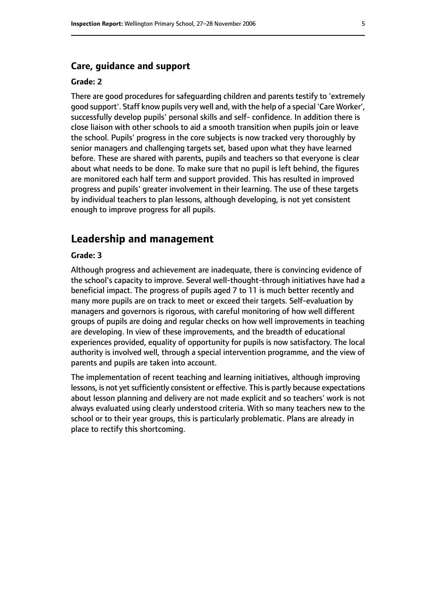#### **Care, guidance and support**

#### **Grade: 2**

There are good procedures for safeguarding children and parents testify to 'extremely good support'. Staff know pupils very well and, with the help of a special 'Care Worker', successfully develop pupils' personal skills and self- confidence. In addition there is close liaison with other schools to aid a smooth transition when pupils join or leave the school. Pupils' progress in the core subjects is now tracked very thoroughly by senior managers and challenging targets set, based upon what they have learned before. These are shared with parents, pupils and teachers so that everyone is clear about what needs to be done. To make sure that no pupil is left behind, the figures are monitored each half term and support provided. This has resulted in improved progress and pupils' greater involvement in their learning. The use of these targets by individual teachers to plan lessons, although developing, is not yet consistent enough to improve progress for all pupils.

### **Leadership and management**

#### **Grade: 3**

Although progress and achievement are inadequate, there is convincing evidence of the school's capacity to improve. Several well-thought-through initiatives have had a beneficial impact. The progress of pupils aged 7 to 11 is much better recently and many more pupils are on track to meet or exceed their targets. Self-evaluation by managers and governors is rigorous, with careful monitoring of how well different groups of pupils are doing and regular checks on how well improvements in teaching are developing. In view of these improvements, and the breadth of educational experiences provided, equality of opportunity for pupils is now satisfactory. The local authority is involved well, through a special intervention programme, and the view of parents and pupils are taken into account.

The implementation of recent teaching and learning initiatives, although improving lessons, is not yet sufficiently consistent or effective. This is partly because expectations about lesson planning and delivery are not made explicit and so teachers' work is not always evaluated using clearly understood criteria. With so many teachers new to the school or to their year groups, this is particularly problematic. Plans are already in place to rectify this shortcoming.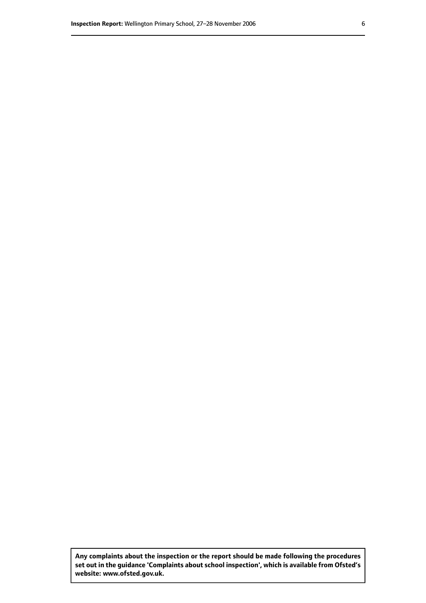**Any complaints about the inspection or the report should be made following the procedures set out inthe guidance 'Complaints about school inspection', whichis available from Ofsted's website: www.ofsted.gov.uk.**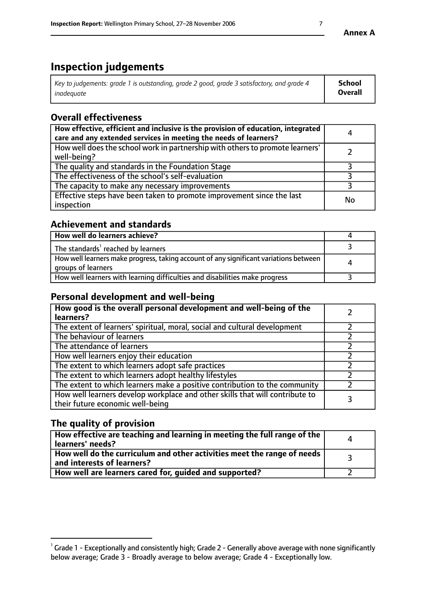# **Inspection judgements**

| Key to judgements: grade 1 is outstanding, grade 2 good, grade 3 satisfactory, and grade 4 | <b>School</b>  |
|--------------------------------------------------------------------------------------------|----------------|
| inadeauate                                                                                 | <b>Overall</b> |

# **Overall effectiveness**

| How effective, efficient and inclusive is the provision of education, integrated<br>care and any extended services in meeting the needs of learners? | 4  |
|------------------------------------------------------------------------------------------------------------------------------------------------------|----|
| How well does the school work in partnership with others to promote learners'<br>well-being?                                                         |    |
| The quality and standards in the Foundation Stage                                                                                                    |    |
| The effectiveness of the school's self-evaluation                                                                                                    |    |
| The capacity to make any necessary improvements                                                                                                      |    |
| Effective steps have been taken to promote improvement since the last<br>inspection                                                                  | No |

# **Achievement and standards**

| How well do learners achieve?                                                                               |   |
|-------------------------------------------------------------------------------------------------------------|---|
| The standards <sup>1</sup> reached by learners                                                              |   |
| How well learners make progress, taking account of any significant variations between<br>groups of learners | л |
| How well learners with learning difficulties and disabilities make progress                                 |   |

# **Personal development and well-being**

| How good is the overall personal development and well-being of the<br>learners?                                  |  |
|------------------------------------------------------------------------------------------------------------------|--|
| The extent of learners' spiritual, moral, social and cultural development                                        |  |
| The behaviour of learners                                                                                        |  |
| The attendance of learners                                                                                       |  |
| How well learners enjoy their education                                                                          |  |
| The extent to which learners adopt safe practices                                                                |  |
| The extent to which learners adopt healthy lifestyles                                                            |  |
| The extent to which learners make a positive contribution to the community                                       |  |
| How well learners develop workplace and other skills that will contribute to<br>their future economic well-being |  |

# **The quality of provision**

| How effective are teaching and learning in meeting the full range of the<br>learners' needs?          |  |
|-------------------------------------------------------------------------------------------------------|--|
| How well do the curriculum and other activities meet the range of needs<br>and interests of learners? |  |
| How well are learners cared for, quided and supported?                                                |  |

 $^1$  Grade 1 - Exceptionally and consistently high; Grade 2 - Generally above average with none significantly below average; Grade 3 - Broadly average to below average; Grade 4 - Exceptionally low.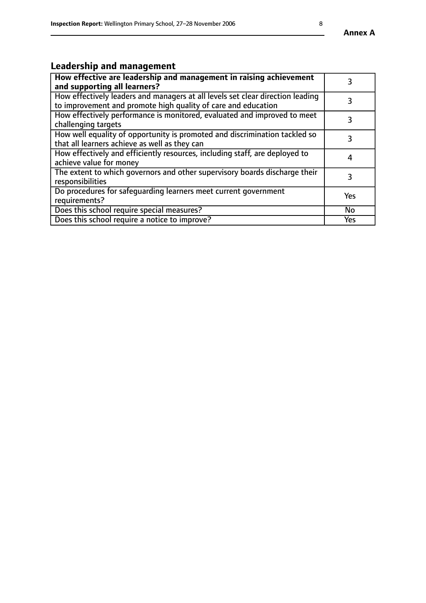# **Leadership and management**

| How effective are leadership and management in raising achievement<br>and supporting all learners?                                              |     |
|-------------------------------------------------------------------------------------------------------------------------------------------------|-----|
| How effectively leaders and managers at all levels set clear direction leading<br>to improvement and promote high quality of care and education |     |
| How effectively performance is monitored, evaluated and improved to meet<br>challenging targets                                                 | 3   |
| How well equality of opportunity is promoted and discrimination tackled so<br>that all learners achieve as well as they can                     | 3   |
| How effectively and efficiently resources, including staff, are deployed to<br>achieve value for money                                          | 4   |
| The extent to which governors and other supervisory boards discharge their<br>responsibilities                                                  | 3   |
| Do procedures for safequarding learners meet current government<br>requirements?                                                                | Yes |
| Does this school require special measures?                                                                                                      | No  |
| Does this school require a notice to improve?                                                                                                   | Yes |